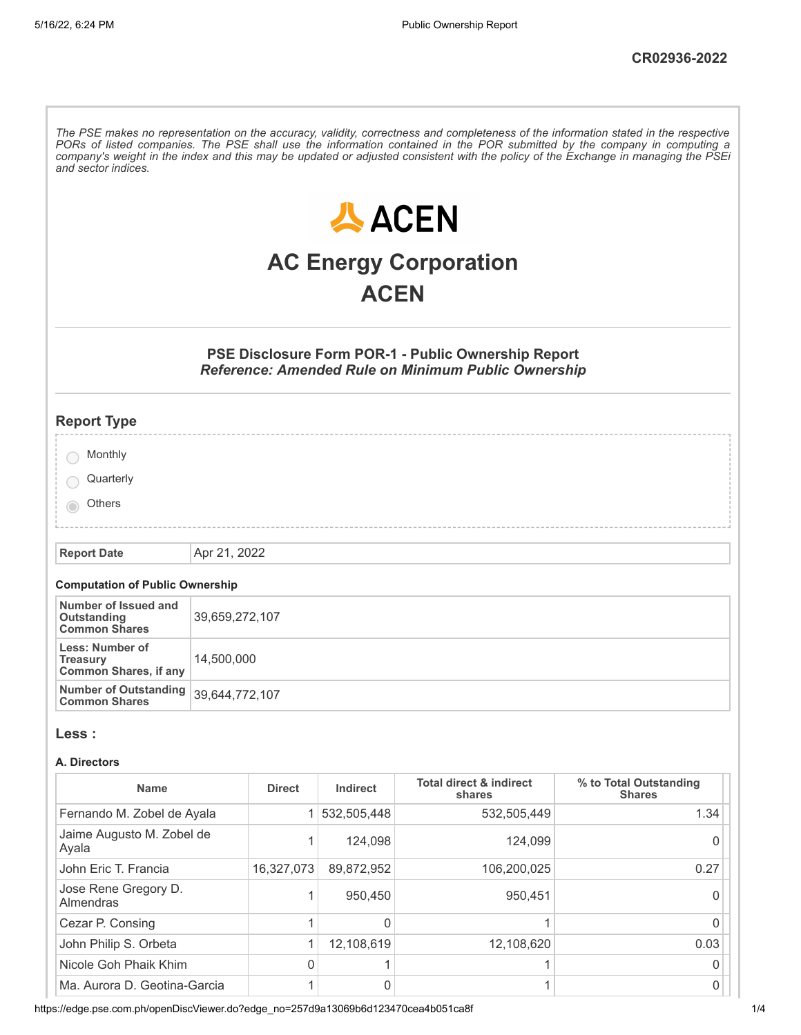The PSE makes no representation on the accuracy, validity, correctness and completeness of the information stated in the respective PORs of listed companies. The PSE shall use the information contained in the POR submitted by the company in computing a company's weight in the index and this may be updated or adjusted consistent with the policy of the Exchange in managing the PSEi *and sector indices.* **人ACEN AC Energy Corporation ACEN PSE Disclosure Form POR-1 - Public Ownership Report** *Reference: Amended Rule on Minimum Public Ownership* **Report Type** Monthly **Quarterly** others **Report Date** Apr 21, 2022 **Computation of Public Ownership Number of Issued and** 39,659,272,107 **Outstanding**

| Number of Outstanding $\vert$ 39,644,772,107<br><b>Common Shares</b> |                |
|----------------------------------------------------------------------|----------------|
| Less: Number of<br><b>Treasury</b><br>Common Shares, if any          | 14.500.000     |
| Outstanding<br><b>Common Shares</b>                                  | 39,659,272,107 |

#### **Less :**

#### **A. Directors**

| <b>Name</b>                        | <b>Direct</b> | Indirect    | <b>Total direct &amp; indirect</b><br>shares | % to Total Outstanding<br><b>Shares</b> |
|------------------------------------|---------------|-------------|----------------------------------------------|-----------------------------------------|
| Fernando M. Zobel de Ayala         |               | 532,505,448 | 532,505,449                                  | 1.34                                    |
| Jaime Augusto M. Zobel de<br>Ayala |               | 124.098     | 124.099                                      |                                         |
| John Eric T. Francia               | 16,327,073    | 89,872,952  | 106,200,025                                  | 0.27                                    |
| Jose Rene Gregory D.<br>Almendras  | 4             | 950.450     | 950.451                                      |                                         |
| Cezar P. Consing                   |               |             |                                              |                                         |
| John Philip S. Orbeta              |               | 12,108,619  | 12,108,620                                   | 0.03                                    |
| Nicole Goh Phaik Khim              | $\Omega$      |             |                                              |                                         |
| Ma. Aurora D. Geotina-Garcia       |               |             |                                              |                                         |

https://edge.pse.com.ph/openDiscViewer.do?edge\_no=257d9a13069b6d123470cea4b051ca8f 1/4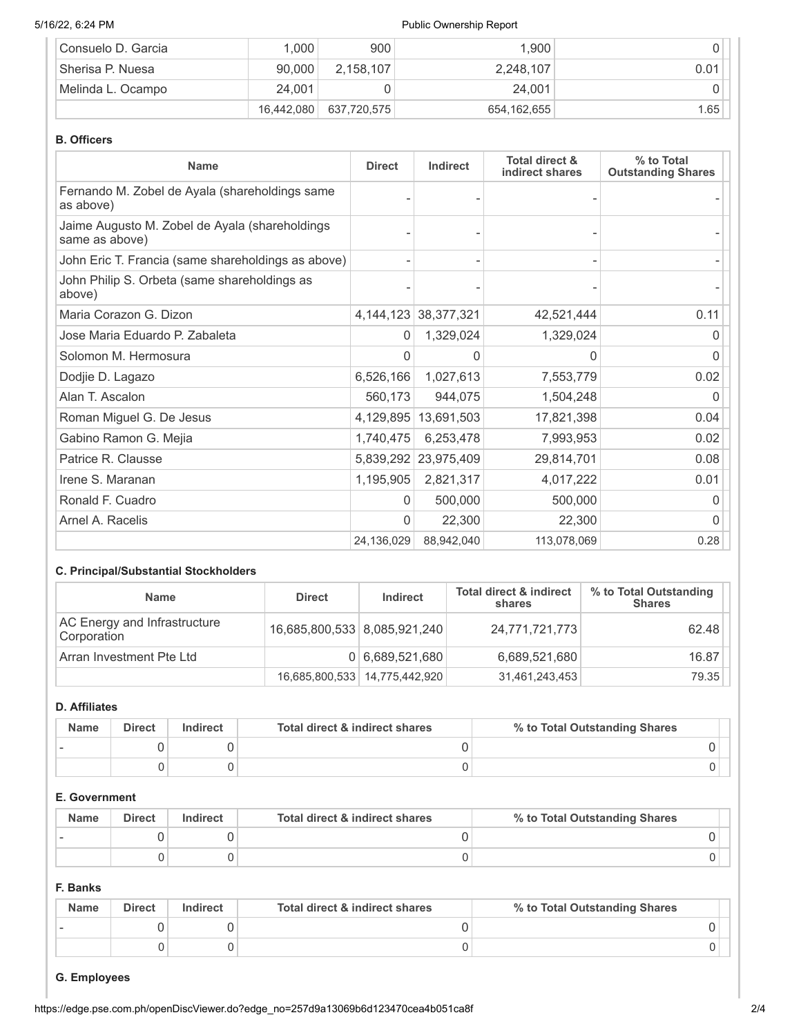## 5/16/22, 6:24 PM **Public Ownership Report**

| Consuelo D. Garcia | 1,000      | 900         | 1.900       |      |
|--------------------|------------|-------------|-------------|------|
| Sherisa P. Nuesa   | 90.000     | 2.158.107   | 2,248,107   | 0.01 |
| ⊦Melinda L. Ocampo | 24.001     |             | 24.001      |      |
|                    | 16,442,080 | 637,720,575 | 654,162,655 | 1.65 |

## **B. Officers**

| <b>Name</b>                                                      | <b>Direct</b> | Indirect                 | <b>Total direct &amp;</b><br>indirect shares | % to Total<br><b>Outstanding Shares</b> |
|------------------------------------------------------------------|---------------|--------------------------|----------------------------------------------|-----------------------------------------|
| Fernando M. Zobel de Ayala (shareholdings same<br>as above)      |               |                          |                                              |                                         |
| Jaime Augusto M. Zobel de Ayala (shareholdings<br>same as above) |               |                          |                                              |                                         |
| John Eric T. Francia (same shareholdings as above)               |               |                          |                                              |                                         |
| John Philip S. Orbeta (same shareholdings as<br>above)           |               |                          |                                              |                                         |
| Maria Corazon G. Dizon                                           |               | 4, 144, 123 38, 377, 321 | 42,521,444                                   | 0.11                                    |
| Jose Maria Eduardo P. Zabaleta                                   | 0             | 1,329,024                | 1,329,024                                    | O                                       |
| Solomon M. Hermosura                                             | 0             | $\Omega$                 | $\Omega$                                     | 0                                       |
| Dodjie D. Lagazo                                                 | 6,526,166     | 1,027,613                | 7,553,779                                    | 0.02                                    |
| Alan T. Ascalon                                                  | 560,173       | 944,075                  | 1,504,248                                    | O                                       |
| Roman Miguel G. De Jesus                                         | 4,129,895     | 13,691,503               | 17,821,398                                   | 0.04                                    |
| Gabino Ramon G. Mejia                                            | 1,740,475     | 6,253,478                | 7,993,953                                    | 0.02                                    |
| Patrice R. Clausse                                               |               | 5,839,292 23,975,409     | 29,814,701                                   | 0.08                                    |
| Irene S. Maranan                                                 | 1,195,905     | 2,821,317                | 4,017,222                                    | 0.01                                    |
| Ronald F. Cuadro                                                 | 0             | 500,000                  | 500,000                                      |                                         |
| Arnel A. Racelis                                                 | O             | 22,300                   | 22,300                                       |                                         |
|                                                                  | 24,136,029    | 88,942,040               | 113,078,069                                  | 0.28                                    |

# **C. Principal/Substantial Stockholders**

| <b>Name</b>                                 | <b>Direct</b>                | Indirect                        | <b>Total direct &amp; indirect</b><br>shares | % to Total Outstanding<br><b>Shares</b> |
|---------------------------------------------|------------------------------|---------------------------------|----------------------------------------------|-----------------------------------------|
| AC Energy and Infrastructure<br>Corporation | 16,685,800,533 8,085,921,240 |                                 | 24,771,721,773                               | 62.48                                   |
| Arran Investment Pte Ltd                    |                              | 0 6,689,521,680                 | 6,689,521,680                                | 16.87                                   |
|                                             |                              | 16,685,800,533   14,775,442,920 | 31,461,243,453                               | 79.35                                   |

## **D. Affiliates**

| <b>Name</b> | <b>Direct</b> | Indirect | Total direct & indirect shares | % to Total Outstanding Shares |
|-------------|---------------|----------|--------------------------------|-------------------------------|
|             |               |          |                                |                               |
|             |               |          |                                |                               |

# **E. Government**

| <b>Name</b> | <b>Direct</b> | Indirect | Total direct & indirect shares | % to Total Outstanding Shares |
|-------------|---------------|----------|--------------------------------|-------------------------------|
|             |               |          |                                |                               |
|             |               |          |                                |                               |

## **F. Banks**

| <b>Name</b> | <b>Direct</b> | Indirect | Total direct & indirect shares | % to Total Outstanding Shares |
|-------------|---------------|----------|--------------------------------|-------------------------------|
|             |               |          |                                |                               |
|             |               |          |                                |                               |

## **G. Employees**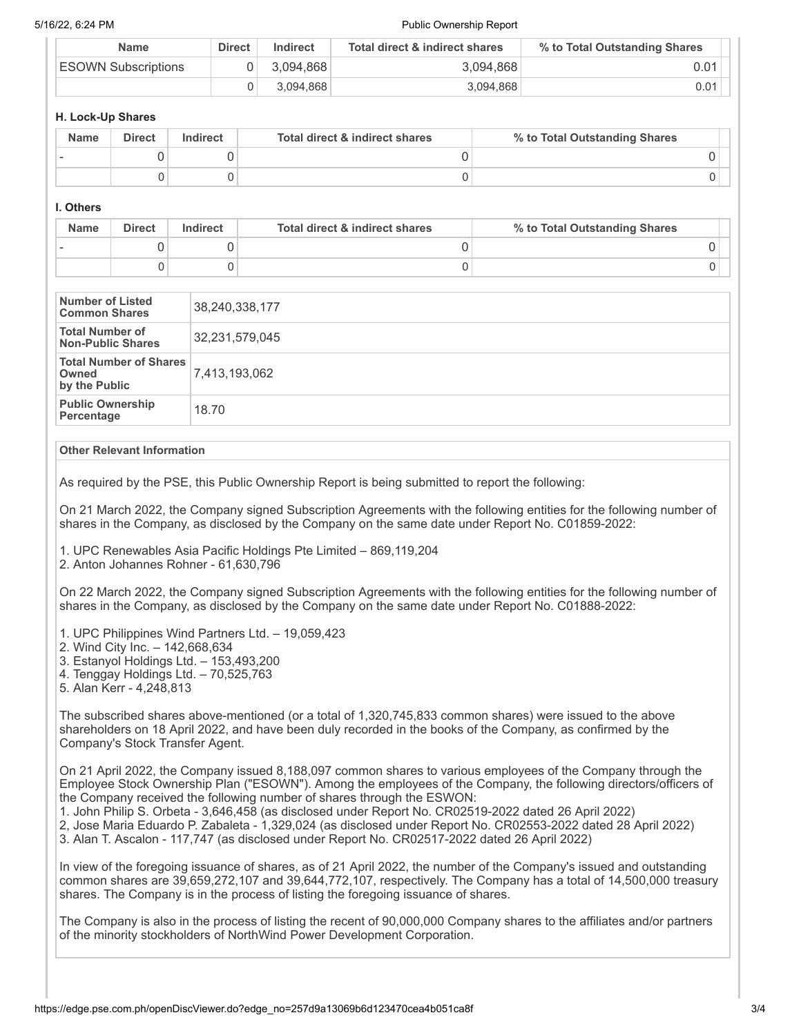5/16/22, 6:24 PM Public Ownership Report

| <b>Name</b>         | <b>Direct</b> | Indirect  | Total direct & indirect shares | % to Total Outstanding Shares |  |
|---------------------|---------------|-----------|--------------------------------|-------------------------------|--|
| ESOWN Subscriptions |               | 3.094.868 | 3.094.868                      | 0.01                          |  |
|                     |               | 3.094.868 | 3.094.868                      | 0.01                          |  |

### **H. Lock-Up Shares**

| <b>Name</b> | <b>Direct</b> | Indirect | Total direct & indirect shares | % to Total Outstanding Shares |
|-------------|---------------|----------|--------------------------------|-------------------------------|
|             |               |          |                                |                               |
|             |               |          |                                |                               |

## **I. Others**

| <b>Name</b> | <b>Direct</b> | Indirect | Total direct & indirect shares | % to Total Outstanding Shares |
|-------------|---------------|----------|--------------------------------|-------------------------------|
|             |               |          |                                |                               |
|             |               |          |                                |                               |

| Number of Listed<br><b>Common Shares</b>                | 38,240,338,177 |
|---------------------------------------------------------|----------------|
| <b>Total Number of</b><br><b>Non-Public Shares</b>      | 32,231,579,045 |
| <b>Total Number of Shares</b><br>Owned<br>by the Public | 7,413,193,062  |
| <b>Public Ownership</b><br>Percentage                   | 18.70          |

#### **Other Relevant Information**

As required by the PSE, this Public Ownership Report is being submitted to report the following:

On 21 March 2022, the Company signed Subscription Agreements with the following entities for the following number of shares in the Company, as disclosed by the Company on the same date under Report No. C01859-2022:

1. UPC Renewables Asia Pacific Holdings Pte Limited – 869,119,204

2. Anton Johannes Rohner - 61,630,796

On 22 March 2022, the Company signed Subscription Agreements with the following entities for the following number of shares in the Company, as disclosed by the Company on the same date under Report No. C01888-2022:

- 1. UPC Philippines Wind Partners Ltd. 19,059,423
- 2. Wind City Inc. 142,668,634
- 3. Estanyol Holdings Ltd. 153,493,200
- 4. Tenggay Holdings Ltd. 70,525,763
- 5. Alan Kerr 4,248,813

The subscribed shares above-mentioned (or a total of 1,320,745,833 common shares) were issued to the above shareholders on 18 April 2022, and have been duly recorded in the books of the Company, as confirmed by the Company's Stock Transfer Agent.

On 21 April 2022, the Company issued 8,188,097 common shares to various employees of the Company through the Employee Stock Ownership Plan ("ESOWN"). Among the employees of the Company, the following directors/officers of the Company received the following number of shares through the ESWON:

1. John Philip S. Orbeta - 3,646,458 (as disclosed under Report No. CR02519-2022 dated 26 April 2022)

2, Jose Maria Eduardo P. Zabaleta - 1,329,024 (as disclosed under Report No. CR02553-2022 dated 28 April 2022)

3. Alan T. Ascalon - 117,747 (as disclosed under Report No. CR02517-2022 dated 26 April 2022)

In view of the foregoing issuance of shares, as of 21 April 2022, the number of the Company's issued and outstanding common shares are 39,659,272,107 and 39,644,772,107, respectively. The Company has a total of 14,500,000 treasury shares. The Company is in the process of listing the foregoing issuance of shares.

The Company is also in the process of listing the recent of 90,000,000 Company shares to the affiliates and/or partners of the minority stockholders of NorthWind Power Development Corporation.